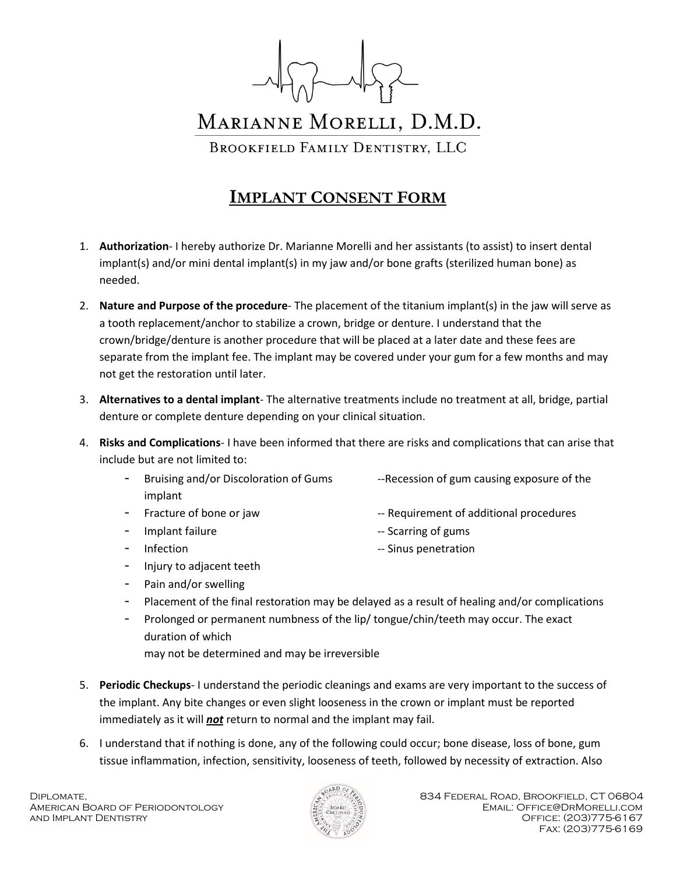

## MARIANNE MORELLI, D.M.D. BROOKFIELD FAMILY DENTISTRY, LLC

## **IMPLANT CONSENT FORM**

- 1. **Authorization** I hereby authorize Dr. Marianne Morelli and her assistants (to assist) to insert dental implant(s) and/or mini dental implant(s) in my jaw and/or bone grafts (sterilized human bone) as needed.
- 2. **Nature and Purpose of the procedure** The placement of the titanium implant(s) in the jaw will serve as a tooth replacement/anchor to stabilize a crown, bridge or denture. I understand that the crown/bridge/denture is another procedure that will be placed at a later date and these fees are separate from the implant fee. The implant may be covered under your gum for a few months and may not get the restoration until later.
- 3. **Alternatives to a dental implant** The alternative treatments include no treatment at all, bridge, partial denture or complete denture depending on your clinical situation.
- 4. **Risks and Complications** I have been informed that there are risks and complications that can arise that include but are not limited to:
	- Bruising and/or Discoloration of Gums --Recession of gum causing exposure of the implant
	-
	-
	-
	- Injury to adjacent teeth
- Fracture of bone or jaw  $-$  Requirement of additional procedures
- Implant failure **Accord 10 Times 10** Times and Times and Times are set of gums and  $\frac{1}{2}$
- -
- Infection **Infection** -- Sinus penetration
	- Pain and/or swelling
	- Placement of the final restoration may be delayed as a result of healing and/or complications
	- Prolonged or permanent numbness of the lip/ tongue/chin/teeth may occur. The exact duration of which may not be determined and may be irreversible
- 5. **Periodic Checkups** I understand the periodic cleanings and exams are very important to the success of the implant. Any bite changes or even slight looseness in the crown or implant must be reported immediately as it will *not* return to normal and the implant may fail.
- 6. I understand that if nothing is done, any of the following could occur; bone disease, loss of bone, gum tissue inflammation, infection, sensitivity, looseness of teeth, followed by necessity of extraction. Also